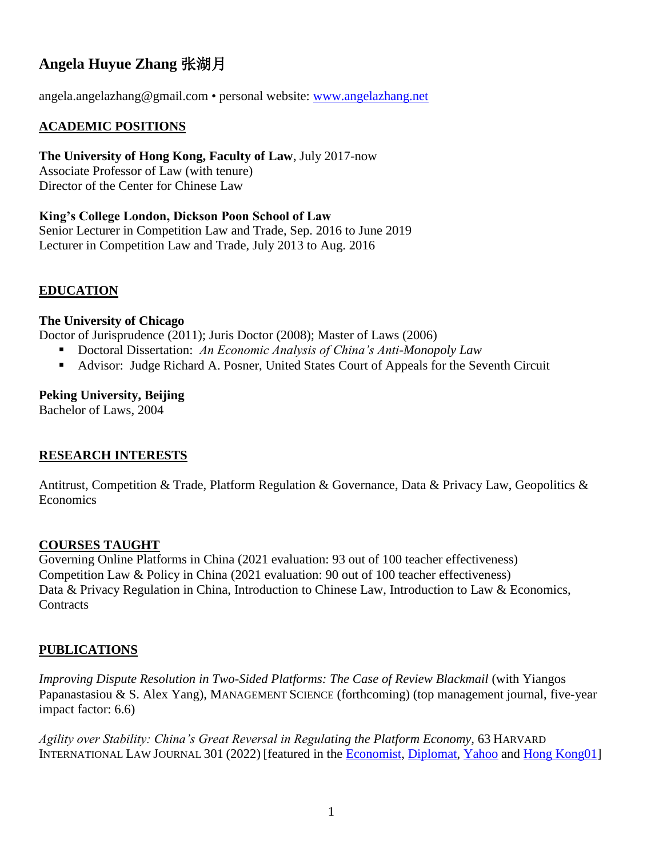# **Angela Huyue Zhang** 张湖月

angela.angelazhang@gmail.com • personal website: [www.angelazhang.net](http://www.angelazhang.net/)

## **ACADEMIC POSITIONS**

**The University of Hong Kong, Faculty of Law**, July 2017-now

Associate Professor of Law (with tenure) Director of the Center for Chinese Law

**King's College London, Dickson Poon School of Law** Senior Lecturer in Competition Law and Trade, Sep. 2016 to June 2019 Lecturer in Competition Law and Trade, July 2013 to Aug. 2016

## **EDUCATION**

#### **The University of Chicago**

Doctor of Jurisprudence (2011); Juris Doctor (2008); Master of Laws (2006)

- Doctoral Dissertation: *An Economic Analysis of China's Anti-Monopoly Law*
- Advisor: Judge Richard A. Posner, United States Court of Appeals for the Seventh Circuit

#### **Peking University, Beijing**

Bachelor of Laws, 2004

## **RESEARCH INTERESTS**

Antitrust, Competition & Trade, Platform Regulation & Governance, Data & Privacy Law, Geopolitics & Economics

## **COURSES TAUGHT**

Governing Online Platforms in China (2021 evaluation: 93 out of 100 teacher effectiveness) Competition Law & Policy in China (2021 evaluation: 90 out of 100 teacher effectiveness) Data & Privacy Regulation in China, Introduction to Chinese Law, Introduction to Law & Economics, **Contracts** 

## **PUBLICATIONS**

*Improving Dispute Resolution in Two-Sided Platforms: The Case of Review Blackmail* (with Yiangos Papanastasiou & S. Alex Yang), MANAGEMENT SCIENCE (forthcoming) (top management journal, five-year impact factor: 6.6)

*Agility over Stability: China's Great Reversal in Regulating the Platform Economy,* 63 HARVARD INTERNATIONAL LAW JOURNAL 301 (2022) [featured in the [Economist,](https://www.economist.com/business/what-tech-does-china-want/21803410) [Diplomat,](https://thediplomat.com/2021/08/why-did-china-crack-down-on-its-ed-tech-industry/) [Yahoo](https://finance.yahoo.com/news/chinas-big-tech-crackdown-is-about-protecting-the-communist-party-194729528.html?guccounter=1) and [Hong Kong01\]](https://www.hk01.com/%E6%B7%B1%E5%BA%A6%E5%A0%B1%E9%81%93/664199/%E8%88%87%E5%8F%8D%E5%A3%9F%E6%96%B7%E6%B3%95%E5%B0%88%E5%AE%B6%E5%BC%B5%E6%B9%96%E6%9C%88%E5%B0%8D%E8%A9%B1-%E7%A7%91%E7%B6%B2%E7%9B%A3%E7%AE%A1%E6%BD%AE-%E5%A5%BD%E6%88%B2%E5%9C%A8%E5%BE%8C%E9%A0%AD)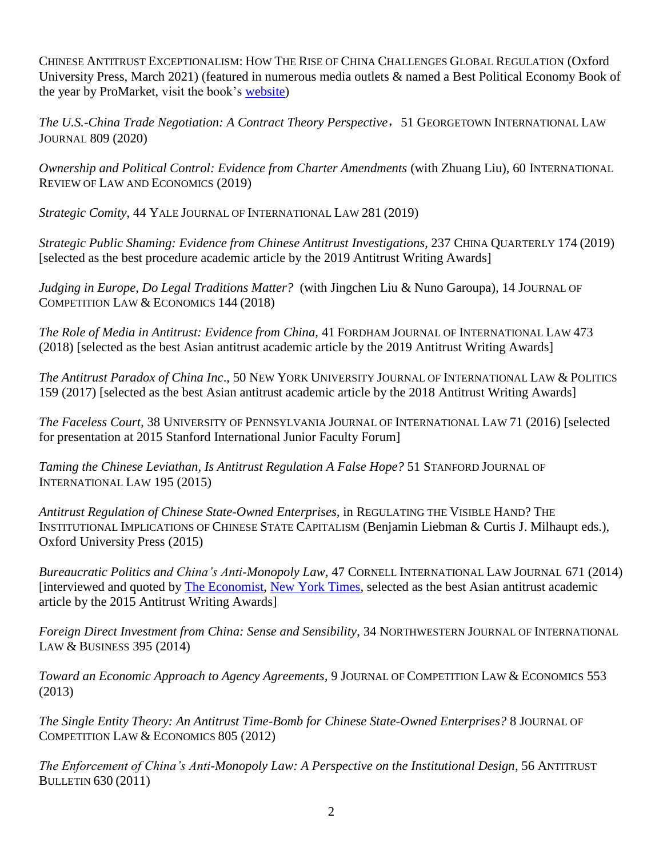CHINESE ANTITRUST EXCEPTIONALISM: HOW THE RISE OF CHINA CHALLENGES GLOBAL REGULATION (Oxford University Press, March 2021) (featured in numerous media outlets & named a Best Political Economy Book of the year by ProMarket, visit the book's [website\)](https://www.angelazhang.net/chinese-antitrust-exceptionalism)

*The U.S.-China Trade Negotiation: A Contract Theory Perspective*,51 GEORGETOWN INTERNATIONAL LAW JOURNAL 809 (2020)

*Ownership and Political Control: Evidence from Charter Amendments* (with Zhuang Liu), 60 INTERNATIONAL REVIEW OF LAW AND ECONOMICS (2019)

*Strategic Comity*, 44 YALE JOURNAL OF INTERNATIONAL LAW 281 (2019)

*Strategic Public Shaming: Evidence from Chinese Antitrust Investigations,* 237 CHINA QUARTERLY 174 (2019) [selected as the best procedure academic article by the 2019 Antitrust Writing Awards]

*Judging in Europe, Do Legal Traditions Matter?* (with Jingchen Liu & Nuno Garoupa)*,* 14 JOURNAL OF COMPETITION LAW & ECONOMICS 144 (2018)

*The Role of Media in Antitrust: Evidence from China,* 41 FORDHAM JOURNAL OF INTERNATIONAL LAW 473 (2018) [selected as the best Asian antitrust academic article by the 2019 Antitrust Writing Awards]

*The Antitrust Paradox of China Inc*., 50 NEW YORK UNIVERSITY JOURNAL OF INTERNATIONAL LAW & POLITICS 159 (2017) [selected as the best Asian antitrust academic article by the 2018 Antitrust Writing Awards]

*The Faceless Court,* 38 UNIVERSITY OF PENNSYLVANIA JOURNAL OF INTERNATIONAL LAW 71 (2016) [selected for presentation at 2015 Stanford International Junior Faculty Forum]

*Taming the Chinese Leviathan, Is Antitrust Regulation A False Hope?* 51 STANFORD JOURNAL OF INTERNATIONAL LAW 195 (2015)

*Antitrust Regulation of Chinese State-Owned Enterprises,* in REGULATING THE VISIBLE HAND? THE INSTITUTIONAL IMPLICATIONS OF CHINESE STATE CAPITALISM (Benjamin Liebman & Curtis J. Milhaupt eds.), Oxford University Press (2015)

*Bureaucratic Politics and China's Anti-Monopoly Law,* 47 CORNELL INTERNATIONAL LAW JOURNAL 671 (2014) [interviewed and quoted by [The Economist,](http://www.economist.com/news/business/21613348-chinas-antitrust-crackdown-turns-ugly-foreign-carmakers-forefront-unequal) [New York](http://www.nytimes.com/2014/08/11/business/international/china8217s-energetic-enforcement-of-antitrust-rules-alarms-foreign-firms.html?_r=0) Times, selected as the best Asian antitrust academic article by the 2015 Antitrust Writing Awards]

*Foreign Direct Investment from China: Sense and Sensibility*, 34 NORTHWESTERN JOURNAL OF INTERNATIONAL LAW & BUSINESS 395 (2014)

*Toward an Economic Approach to Agency Agreements,* 9 JOURNAL OF COMPETITION LAW & ECONOMICS 553 (2013)

*The Single Entity Theory: An Antitrust Time-Bomb for Chinese State-Owned Enterprises?* 8 JOURNAL OF COMPETITION LAW & ECONOMICS 805 (2012)

*The Enforcement of China's Anti-Monopoly Law: A Perspective on the Institutional Design*, 56 ANTITRUST BULLETIN 630 (2011)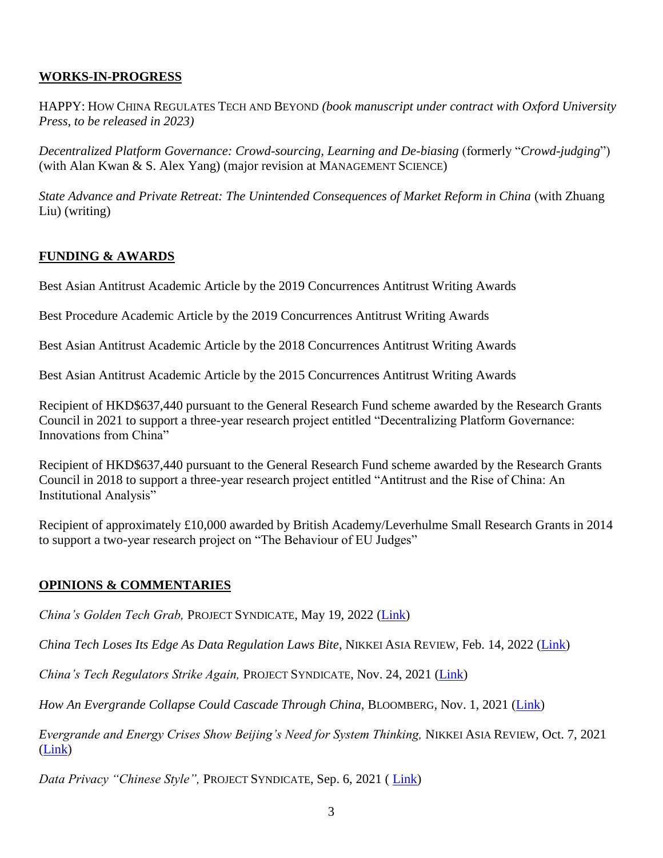# **WORKS-IN-PROGRESS**

HAPPY: HOW CHINA REGULATES TECH AND BEYOND *(book manuscript under contract with Oxford University Press, to be released in 2023)*

*Decentralized Platform Governance: Crowd-sourcing, Learning and De-biasing* (formerly "*Crowd-judging*") (with Alan Kwan  $&$  S. Alex Yang) (major revision at MANAGEMENT SCIENCE)

*State Advance and Private Retreat: The Unintended Consequences of Market Reform in China (with Zhuang* Liu) (writing)

## **FUNDING & AWARDS**

Best Asian Antitrust Academic Article by the 2019 Concurrences Antitrust Writing Awards

Best Procedure Academic Article by the 2019 Concurrences Antitrust Writing Awards

Best Asian Antitrust Academic Article by the 2018 Concurrences Antitrust Writing Awards

Best Asian Antitrust Academic Article by the 2015 Concurrences Antitrust Writing Awards

Recipient of HKD\$637,440 pursuant to the General Research Fund scheme awarded by the Research Grants Council in 2021 to support a three-year research project entitled "Decentralizing Platform Governance: Innovations from China"

Recipient of HKD\$637,440 pursuant to the General Research Fund scheme awarded by the Research Grants Council in 2018 to support a three-year research project entitled "Antitrust and the Rise of China: An Institutional Analysis"

Recipient of approximately £10,000 awarded by British Academy/Leverhulme Small Research Grants in 2014 to support a two-year research project on "The Behaviour of EU Judges"

## **OPINIONS & COMMENTARIES**

*China's Golden Tech Grab,* PROJECT SYNDICATE*,* May 19, 2022 [\(Link\)](https://www.project-syndicate.org/commentary/china-regulatory-crackdown-tech-firms-golden-share-ownership-stake-by-angela-huyue-zhang-2022-05)

*China Tech Loses Its Edge As Data Regulation Laws Bite*, NIKKEI ASIA REVIEW*,* Feb. 14, 2022 [\(Link\)](https://asia.nikkei.com/Opinion/China-Tech-loses-its-edge-as-data-regulation-laws-bite)

*China's Tech Regulators Strike Again,* PROJECT SYNDICATE, Nov. 24, 2021 [\(Link\)](https://www.project-syndicate.org/commentary/china-regulator-new-draft-guidelines-data-collection-use-and-transfer-by-angela-huyue-zhang-2021-11?utm_source=twitter&utm_medium=organic-social&utm_campaign=page-posts-november21&utm_post-type=link&utm_format=16:9&utm_creative=link-image&utm_post-date=2021-11-24)

*How An Evergrande Collapse Could Cascade Through China,* BLOOMBERG*,* Nov. 1, 2021 [\(Link\)](https://www.bloomberg.com/opinion/articles/2021-10-31/an-evergrande-collapse-could-cause-a-domino-effect-of-small-business-failures?srnd=premium-asia)

*Evergrande and Energy Crises Show Beijing's Need for System Thinking,* NIKKEI ASIA REVIEW*,* Oct. 7, 2021 [\(Link\)](https://asia.nikkei.com/Opinion/Evergrande-and-energy-crises-show-Beijing-s-need-for-systems-thinking)

*Data Privacy "Chinese Style",* PROJECT SYNDICATE, Sep. 6, 2021 ( [Link\)](https://www.project-syndicate.org/commentary/china-data-protection-law-strengths-and-weaknesses-by-angela-huyue-zhang-2021-09)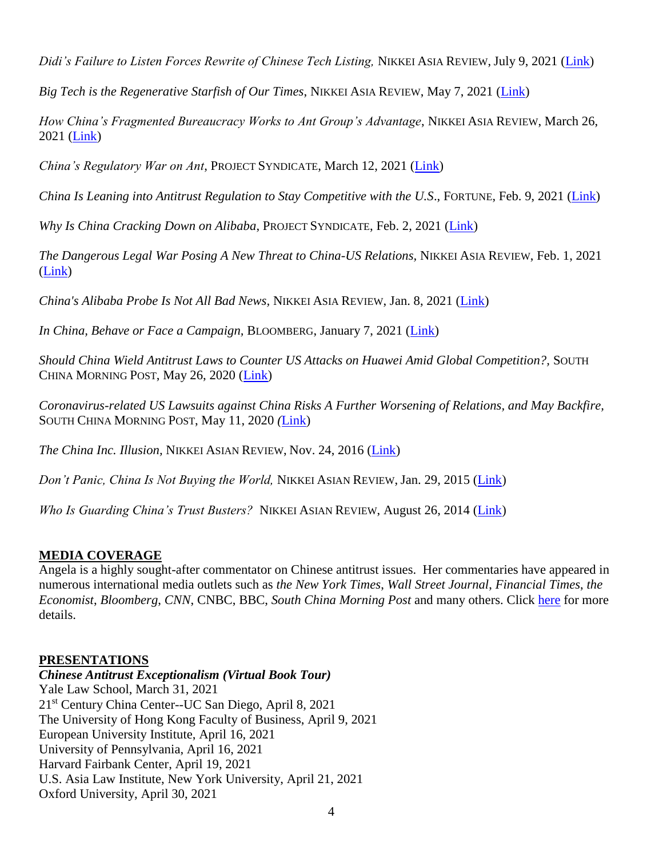*Didi's Failure to Listen Forces Rewrite of Chinese Tech Listing,* NIKKEI ASIA REVIEW, July 9, 2021 [\(Link\)](https://asia.nikkei.com/Opinion/Didi-s-failure-to-listen-forces-rewrite-of-Chinese-tech-listing-rules)

*Big Tech is the Regenerative Starfish of Our Times*, NIKKEI ASIA REVIEW, May 7, 2021 [\(Link\)](https://asia.nikkei.com/Opinion/Big-Tech-is-the-regenerative-starfish-of-our-times)

*How China's Fragmented Bureaucracy Works to Ant Group's Advantage*, NIKKEI ASIA REVIEW, March 26, 2021 [\(Link\)](https://asia.nikkei.com/Opinion/How-China-s-fragmented-bureaucracy-works-to-Ant-Group-s-advantage)

*China's Regulatory War on Ant*, PROJECT SYNDICATE, March 12, 2021 [\(Link\)](https://www.project-syndicate.org/commentary/china-bureaucracy-regulatory-war-on-ant-group-by-angela-huyue-zhang-2021-03?barrier=accesspaylog)

*China Is Leaning into Antitrust Regulation to Stay Competitive with the U.S*., FORTUNE, Feb. 9, 2021 [\(Link\)](https://fortune.com/2021/02/08/china-antitrust-tech-alibaba-tencent-billionaires/)

*Why Is China Cracking Down on Alibaba*, PROJECT SYNDICATE, Feb. 2, 2021 [\(Link\)](https://www.project-syndicate.org/commentary/chinese-government-alibaba-antitrust-investor-confidence-by-angela-huyue-zhang-2021-02?barrier=accesspaylog)

*The Dangerous Legal War Posing A New Threat to China-US Relations,* NIKKEI ASIA REVIEW, Feb. 1, 2021 [\(Link\)](https://asia.nikkei.com/Opinion/The-dangerous-legal-war-posing-a-new-threat-to-China-US-relations)

*[China's Alibaba Probe Is](https://asia.nikkei.com/Opinion/China-s-Alibaba-probe-is-not-all-bad-news) Not All Bad News,* NIKKEI ASIA REVIEW, Jan. 8, 2021 [\(Link\)](https://asia.nikkei.com/Opinion/China-s-Alibaba-probe-is-not-all-bad-news)

*[In China, Behave or Face a Campaign,](https://www.bloomberg.com/opinion/articles/2021-01-06/china-s-regulators-turn-to-communist-style-campaigns-to-keep-things-in-line)* BLOOMBERG, January 7, 2021 [\(Link\)](https://www.bloomberg.com/opinion/articles/2021-01-06/china-s-regulators-turn-to-communist-style-campaigns-to-keep-things-in-line)

*Should China Wield Antitrust Laws to Counter US Attacks on Huawei Amid Global Competition?,* SOUTH CHINA MORNING POST, May 26, 2020 [\(Link\)](https://www.scmp.com/comment/opinion/article/3086070/should-china-wield-antitrust-laws-counter-us-attacks-huawei-amid)

*Coronavirus-related US Lawsuits against China Risks A Further Worsening of Relations, and May Backfire,*  SOUTH CHINA MORNING POST, May 11, 2020 *(*[Link\)](https://www.scmp.com/comment/opinion/article/3083504/coronavirus-related-us-lawsuits-against-china-risk-further)

*The China Inc. Illusion,* NIKKEI ASIAN REVIEW, Nov. 24, 2016 [\(Link\)](http://asia.nikkei.com/Business/Companies/Angela-Huyue-Zhang-The-China-Inc.-illusion)

*Don't Panic, China Is Not Buying the World,* NIKKEI ASIAN REVIEW, Jan. 29, 2015 [\(Link\)](http://asia.nikkei.com/magazine/20150129-Youth-on-the-rise/Viewpoints/Angela-Huyue-Zhang-Don-t-panic-China-is-not-buying-the-world)

*Who Is Guarding China's Trust Busters?* NIKKEI ASIAN REVIEW, August 26, 2014 [\(Link\)](http://asia.nikkei.com/Viewpoints/Perspectives/Angela-Huyue-Zhang-Who-is-guarding-China-s-trust-busters)

## **MEDIA COVERAGE**

Angela is a highly sought-after commentator on Chinese antitrust issues. Her commentaries have appeared in numerous international media outlets such as *the New York Times*, *Wall Street Journal*, *Financial Times*, *the Economist*, *Bloomberg*, *CNN*, CNBC, BBC, *South China Morning Post* and many others. Click [here](https://www.angelazhang.net/chinese-antitrust-exceptionalism) for more details.

#### **PRESENTATIONS**

*Chinese Antitrust Exceptionalism (Virtual Book Tour)* [Yale Law School, March 31, 2021](https://law.yale.edu/yls-today/yale-law-school-events/book-talk-chinese-antitrust-exceptionalism-how-rise-china-challenges-global-regulation-university) 21st Century China Center--UC San [Diego, April 8, 2021](https://www.youtube.com/watch?v=nn9PjvDSSmQ) The University of Hong Kong Faculty of Business, April 9, 2021 European University Institute, April 16, 2021 [University of Pennsylvania, April 16, 2021](https://cscc.sas.upenn.edu/events/2021/04/16/chinese-antitrust-exceptionalism-how-rise-china-will-challenge-global-regulation) [Harvard Fairbank Center, April 19, 2021](https://fairbank.fas.harvard.edu/events/china-economy-lecture-series-featuring-angela-zhang/) U.S. Asia Law Institute, [New York University, April 21, 2021](https://usali.org/events/how-the-rise-of-china-challenges-global-anti-trust-regulation) Oxford University, April 30, 2021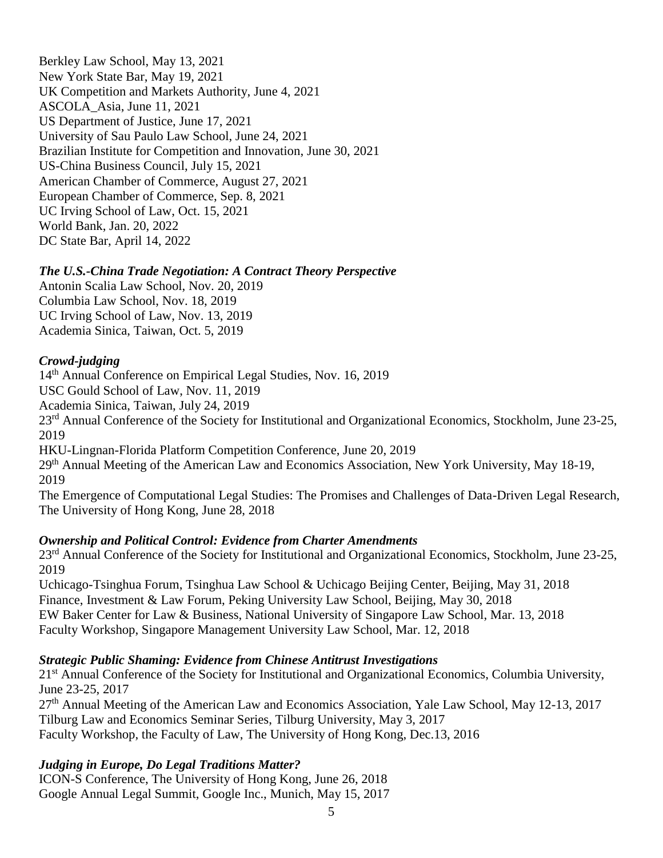Berkley Law School, May 13, 2021 New York State Bar, May 19, 2021 UK Competition and Markets Authority, June 4, 2021 ASCOLA\_Asia, June 11, 2021 US Department of Justice, June 17, 2021 University of Sau Paulo Law School, June 24, 2021 Brazilian Institute for Competition and Innovation, June 30, 2021 US-China Business Council, July 15, 2021 American Chamber of Commerce, August 27, 2021 European Chamber of Commerce, Sep. 8, 2021 UC Irving School of Law, Oct. 15, 2021 World Bank, Jan. 20, 2022 DC State Bar, April 14, 2022

#### *The U.S.-China Trade Negotiation: A Contract Theory Perspective*

Antonin Scalia Law School, Nov. 20, 2019 Columbia Law School, Nov. 18, 2019 UC Irving School of Law, Nov. 13, 2019 Academia Sinica, Taiwan, Oct. 5, 2019

#### *Crowd-judging*

14<sup>th</sup> Annual Conference on Empirical Legal Studies, Nov. 16, 2019

USC Gould School of Law, Nov. 11, 2019

Academia Sinica, Taiwan, July 24, 2019

23<sup>rd</sup> Annual Conference of the Society for Institutional and Organizational Economics, Stockholm, June 23-25, 2019

HKU-Lingnan-Florida Platform Competition Conference, June 20, 2019

29<sup>th</sup> Annual Meeting of the American Law and Economics Association, New York University, May 18-19, 2019

The Emergence of Computational Legal Studies: The Promises and Challenges of Data-Driven Legal Research, The University of Hong Kong, June 28, 2018

#### *Ownership and Political Control: Evidence from Charter Amendments*

23<sup>rd</sup> Annual Conference of the Society for Institutional and Organizational Economics, Stockholm, June 23-25, 2019

Uchicago-Tsinghua Forum, Tsinghua Law School & Uchicago Beijing Center, Beijing, May 31, 2018 Finance, Investment & Law Forum, Peking University Law School, Beijing, May 30, 2018 EW Baker Center for Law & Business, National University of Singapore Law School, Mar. 13, 2018 Faculty Workshop, Singapore Management University Law School, Mar. 12, 2018

#### *Strategic Public Shaming: Evidence from Chinese Antitrust Investigations*

21<sup>st</sup> Annual Conference of the Society for Institutional and Organizational Economics, Columbia University, June 23-25, 2017

 $27<sup>th</sup>$  Annual Meeting of the American Law and Economics Association, Yale Law School, May 12-13, 2017 Tilburg Law and Economics Seminar Series, Tilburg University, May 3, 2017 Faculty Workshop, the Faculty of Law, The University of Hong Kong, Dec.13, 2016

## *Judging in Europe, Do Legal Traditions Matter?*

ICON-S Conference, The University of Hong Kong, June 26, 2018 Google Annual Legal Summit, Google Inc., Munich, May 15, 2017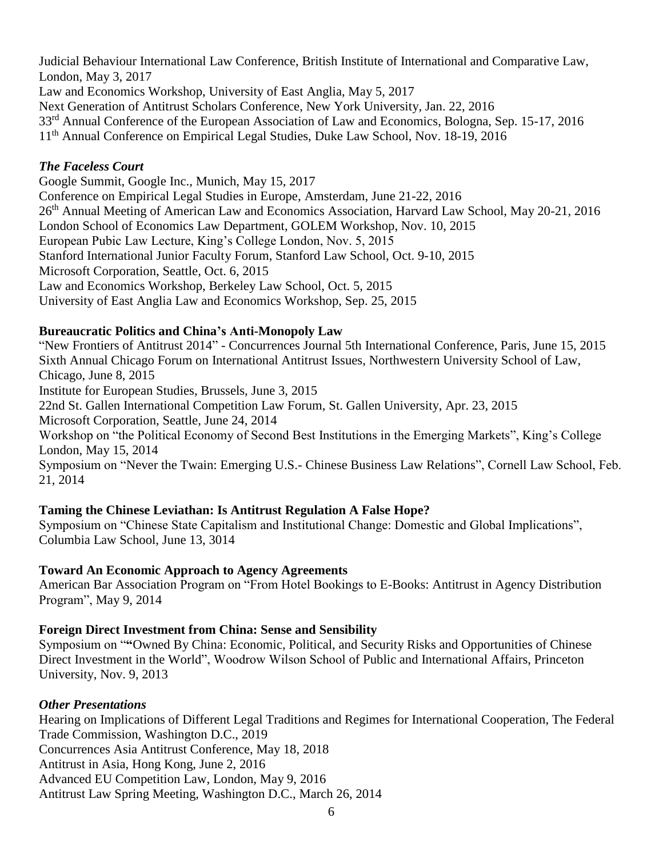Judicial Behaviour International Law Conference, British Institute of International and Comparative Law, London, May 3, 2017 Law and Economics Workshop, University of East Anglia, May 5, 2017 Next Generation of Antitrust Scholars Conference, New York University, Jan. 22, 2016 33rd Annual Conference of the European Association of Law and Economics, Bologna, Sep. 15-17, 2016 11th Annual Conference on Empirical Legal Studies, Duke Law School, Nov. 18-19, 2016

## *The Faceless Court*

Google Summit, Google Inc., Munich, May 15, 2017 Conference on Empirical Legal Studies in Europe, Amsterdam, June 21-22, 2016 26<sup>th</sup> Annual Meeting of American Law and Economics Association, Harvard Law School, May 20-21, 2016 London School of Economics Law Department, GOLEM Workshop, Nov. 10, 2015 European Pubic Law Lecture, King's College London, Nov. 5, 2015 Stanford International Junior Faculty Forum, Stanford Law School, Oct. 9-10, 2015 Microsoft Corporation, Seattle, Oct. 6, 2015 Law and Economics Workshop, Berkeley Law School, Oct. 5, 2015 University of East Anglia Law and Economics Workshop, Sep. 25, 2015

# **Bureaucratic Politics and China's Anti-Monopoly Law**

"New Frontiers of Antitrust 2014" - Concurrences Journal 5th International Conference, Paris, June 15, 2015 Sixth Annual Chicago Forum on International Antitrust Issues, Northwestern University School of Law, Chicago, June 8, 2015

Institute for European Studies, Brussels, June 3, 2015

22nd St. Gallen International Competition Law Forum, St. Gallen University, Apr. 23, 2015

Microsoft Corporation, Seattle, June 24, 2014

Workshop on "the Political Economy of Second Best Institutions in the Emerging Markets", King's College London, May 15, 2014

Symposium on "Never the Twain: Emerging U.S.- Chinese Business Law Relations", Cornell Law School, Feb. 21, 2014

## **Taming the Chinese Leviathan: Is Antitrust Regulation A False Hope?**

Symposium on "Chinese State Capitalism and Institutional Change: Domestic and Global Implications", Columbia Law School, June 13, 3014

## **Toward An Economic Approach to Agency Agreements**

American Bar Association Program on "From Hotel Bookings to E-Books: Antitrust in Agency Distribution Program", May 9, 2014

## **Foreign Direct Investment from China: Sense and Sensibility**

Symposium on "**"**Owned By China: Economic, Political, and Security Risks and Opportunities of Chinese Direct Investment in the World", Woodrow Wilson School of Public and International Affairs, Princeton University, Nov. 9, 2013

## *Other Presentations*

Hearing on Implications of Different Legal Traditions and Regimes for International Cooperation, The Federal Trade Commission, Washington D.C., 2019 Concurrences Asia Antitrust Conference, May 18, 2018 Antitrust in Asia, Hong Kong, June 2, 2016 Advanced EU Competition Law, London, May 9, 2016 Antitrust Law Spring Meeting, Washington D.C., March 26, 2014